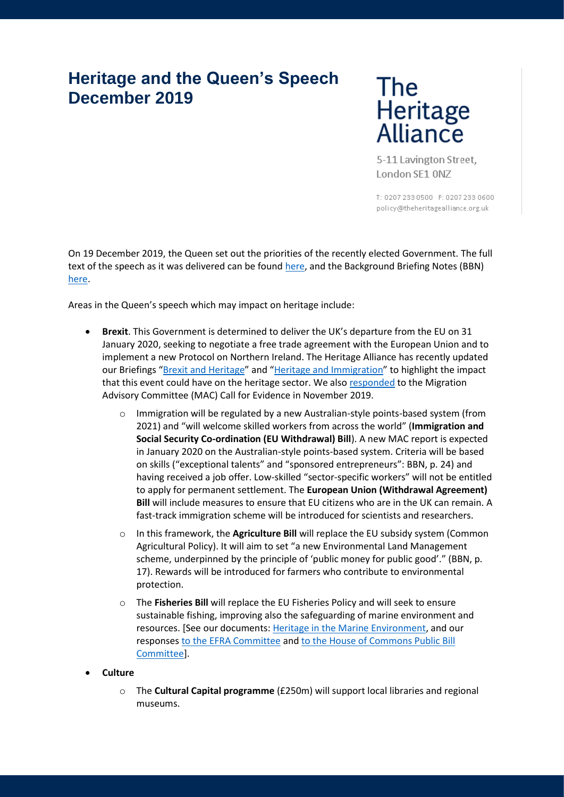## **Heritage and the Queen's Speech December 2019**



5-11 Lavington Street, London SE1 0NZ

T: 0207 233 0500 F: 0207 233 0600 policy@theheritagealliance.org.uk

On 19 December 2019, the Queen set out the priorities of the recently elected Government. The full text of the speech as it was delivered can be found [here,](https://www.gov.uk/government/speeches/queens-speech-december-2019) and the Background Briefing Notes (BBN) [here.](https://assets.publishing.service.gov.uk/government/uploads/system/uploads/attachment_data/file/853886/Queen_s_Speech_December_2019_-_background_briefing_notes.pdf)

Areas in the Queen's speech which may impact on heritage include:

- **Brexit**. This Government is determined to deliver the UK's departure from the EU on 31 January 2020, seeking to negotiate a free trade agreement with the European Union and to implement a new Protocol on Northern Ireland. The Heritage Alliance has recently updated our Briefings "[Brexit and Heritage](https://www.theheritagealliance.org.uk/wp-content/uploads/2017/07/Brexit-and-Heritage-Briefing-FINAL-with-Royal-Society-Report.pdf)" and "[Heritage and Immigration](https://www.theheritagealliance.org.uk/wp-content/uploads/2019/05/Heritage-and-Immigration-Brexit-Briefing.pdf)" to highlight the impact that this event could have on the heritage sector. We also [responded](https://www.theheritagealliance.org.uk/wp-content/uploads/2019/11/MAC-consultation-Call-for-evidence-questions.pdf) to the Migration Advisory Committee (MAC) Call for Evidence in November 2019.
	- Immigration will be regulated by a new Australian-style points-based system (from 2021) and "will welcome skilled workers from across the world" (**Immigration and Social Security Co-ordination (EU Withdrawal) Bill**). A new MAC report is expected in January 2020 on the Australian-style points-based system. Criteria will be based on skills ("exceptional talents" and "sponsored entrepreneurs": BBN, p. 24) and having received a job offer. Low-skilled "sector-specific workers" will not be entitled to apply for permanent settlement. The **European Union (Withdrawal Agreement) Bill** will include measures to ensure that EU citizens who are in the UK can remain. A fast-track immigration scheme will be introduced for scientists and researchers.
	- o In this framework, the **Agriculture Bill** will replace the EU subsidy system (Common Agricultural Policy). It will aim to set "a new Environmental Land Management scheme, underpinned by the principle of 'public money for public good'." (BBN, p. 17). Rewards will be introduced for farmers who contribute to environmental protection.
	- o The **Fisheries Bill** will replace the EU Fisheries Policy and will seek to ensure sustainable fishing, improving also the safeguarding of marine environment and resources. [See our documents: [Heritage in the Marine Environment,](https://www.theheritagealliance.org.uk/wp-content/uploads/2018/09/Heritage-in-the-Marine-Environment-paper.pdf) and our response[s to the EFRA Committee](https://www.theheritagealliance.org.uk/wp-content/uploads/2019/04/Environment-Food-and-Rural-Affairs-Committee%E2%80%99s-Scrutiny-of-the-Fisheries-Bill-Inquiry.pdf) and [to the House of Commons Public Bill](https://www.theheritagealliance.org.uk/wp-content/uploads/2018/12/Fisheries-Bill-submission-of-written-evidence-to-the-House-of-Commons-Public-Bill-Committee-for-the-MPs.docx)  [Committee\]](https://www.theheritagealliance.org.uk/wp-content/uploads/2018/12/Fisheries-Bill-submission-of-written-evidence-to-the-House-of-Commons-Public-Bill-Committee-for-the-MPs.docx).
- **Culture** 
	- o The **Cultural Capital programme** (£250m) will support local libraries and regional museums.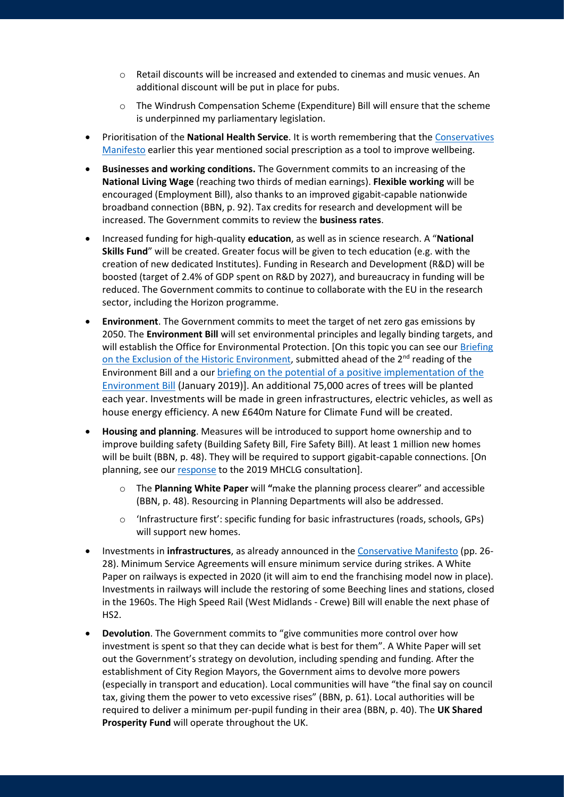- o Retail discounts will be increased and extended to cinemas and music venues. An additional discount will be put in place for pubs.
- o The Windrush Compensation Scheme (Expenditure) Bill will ensure that the scheme is underpinned my parliamentary legislation.
- Prioritisation of the **National Health Service**. It is worth remembering that the [Conservatives](https://assets-global.website-files.com/5da42e2cae7ebd3f8bde353c/5dda924905da587992a064ba_Conservative%202019%20Manifesto.pdf)  [Manifesto](https://assets-global.website-files.com/5da42e2cae7ebd3f8bde353c/5dda924905da587992a064ba_Conservative%202019%20Manifesto.pdf) earlier this year mentioned social prescription as a tool to improve wellbeing.
- **Businesses and working conditions.** The Government commits to an increasing of the **National Living Wage** (reaching two thirds of median earnings). **Flexible working** will be encouraged (Employment Bill), also thanks to an improved gigabit-capable nationwide broadband connection (BBN, p. 92). Tax credits for research and development will be increased. The Government commits to review the **business rates**.
- Increased funding for high-quality **education**, as well as in science research. A "**National Skills Fund**" will be created. Greater focus will be given to tech education (e.g. with the creation of new dedicated Institutes). Funding in Research and Development (R&D) will be boosted (target of 2.4% of GDP spent on R&D by 2027), and bureaucracy in funding will be reduced. The Government commits to continue to collaborate with the EU in the research sector, including the Horizon programme.
- **Environment**. The Government commits to meet the target of net zero gas emissions by 2050. The **Environment Bill** will set environmental principles and legally binding targets, and will establish the Office for Environmental Protection. [On this topic you can see our [Briefing](https://www.theheritagealliance.org.uk/wp-content/uploads/2019/10/Environment-Bill-2nd-Reading-Briefing-on-the-Exclusion-of-the-Historic-Environment.pdf)  [on the Exclusion of the Historic Environment,](https://www.theheritagealliance.org.uk/wp-content/uploads/2019/10/Environment-Bill-2nd-Reading-Briefing-on-the-Exclusion-of-the-Historic-Environment.pdf) submitted ahead of the  $2<sup>nd</sup>$  reading of the Environment Bill and a our briefing on the potential of [a positive implementation of](https://www.theheritagealliance.org.uk/wp-content/uploads/2019/01/Delivering-the-25-Year-Environment-Plan.pdf) the [Environment Bill](https://www.theheritagealliance.org.uk/wp-content/uploads/2019/01/Delivering-the-25-Year-Environment-Plan.pdf) (January 2019)]. An additional 75,000 acres of trees will be planted each year. Investments will be made in green infrastructures, electric vehicles, as well as house energy efficiency. A new £640m Nature for Climate Fund will be created.
- **Housing and planning**. Measures will be introduced to support home ownership and to improve building safety (Building Safety Bill, Fire Safety Bill). At least 1 million new homes will be built (BBN, p. 48). They will be required to support gigabit-capable connections. [On planning, see ou[r response](https://www.theheritagealliance.org.uk/wp-content/uploads/2019/01/High-streets-consultation.pdf) to the 2019 MHCLG consultation].
	- o The **Planning White Paper** will **"**make the planning process clearer" and accessible (BBN, p. 48). Resourcing in Planning Departments will also be addressed.
	- o 'Infrastructure first': specific funding for basic infrastructures (roads, schools, GPs) will support new homes.
- Investments in **infrastructures**, as already announced in th[e Conservative Manifesto](https://assets-global.website-files.com/5da42e2cae7ebd3f8bde353c/5dda924905da587992a064ba_Conservative%202019%20Manifesto.pdf) (pp. 26- 28). Minimum Service Agreements will ensure minimum service during strikes. A White Paper on railways is expected in 2020 (it will aim to end the franchising model now in place). Investments in railways will include the restoring of some Beeching lines and stations, closed in the 1960s. The High Speed Rail (West Midlands - Crewe) Bill will enable the next phase of HS2.
- **Devolution**. The Government commits to "give communities more control over how investment is spent so that they can decide what is best for them". A White Paper will set out the Government's strategy on devolution, including spending and funding. After the establishment of City Region Mayors, the Government aims to devolve more powers (especially in transport and education). Local communities will have "the final say on council tax, giving them the power to veto excessive rises" (BBN, p. 61). Local authorities will be required to deliver a minimum per-pupil funding in their area (BBN, p. 40). The **UK Shared Prosperity Fund** will operate throughout the UK.